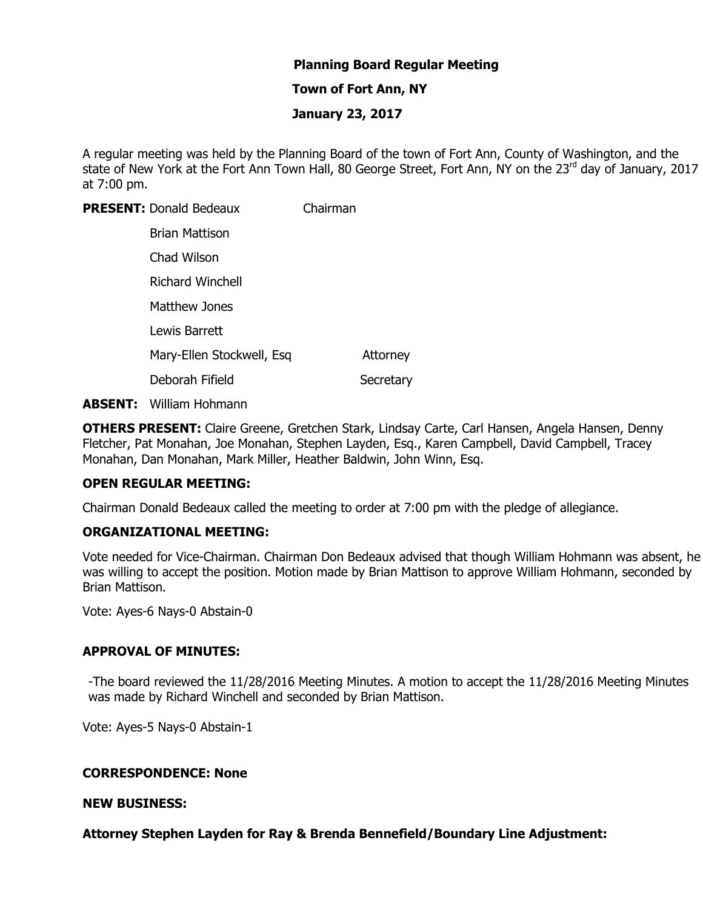# **Planning Board Regular Meeting**

## **Town of Fort Ann, NY**

#### **January 23, 2017**

A regular meeting was held by the Planning Board of the town of Fort Ann, County of Washington, and the state of New York at the Fort Ann Town Hall, 80 George Street, Fort Ann, NY on the 23<sup>rd</sup> day of January, 2017 at 7:00 pm.

**PRESENT:** Donald Bedeaux Chairman

| Brian Mattison            |           |
|---------------------------|-----------|
| Chad Wilson               |           |
| <b>Richard Winchell</b>   |           |
| Matthew Jones             |           |
| Lewis Barrett             |           |
| Mary-Ellen Stockwell, Esq | Attorney  |
| Deborah Fifield           | Secretary |

**ABSENT:** William Hohmann

**OTHERS PRESENT:** Claire Greene, Gretchen Stark, Lindsay Carte, Carl Hansen, Angela Hansen, Denny Fletcher, Pat Monahan, Joe Monahan, Stephen Layden, Esq., Karen Campbell, David Campbell, Tracey Monahan, Dan Monahan, Mark Miller, Heather Baldwin, John Winn, Esq.

## **OPEN REGULAR MEETING:**

Chairman Donald Bedeaux called the meeting to order at 7:00 pm with the pledge of allegiance.

## **ORGANIZATIONAL MEETING:**

Vote needed for Vice-Chairman. Chairman Don Bedeaux advised that though William Hohmann was absent, he was willing to accept the position. Motion made by Brian Mattison to approve William Hohmann, seconded by Brian Mattison.

Vote: Ayes-6 Nays-0 Abstain-0

## **APPROVAL OF MINUTES:**

-The board reviewed the 11/28/2016 Meeting Minutes. A motion to accept the 11/28/2016 Meeting Minutes was made by Richard Winchell and seconded by Brian Mattison.

Vote: Ayes-5 Nays-0 Abstain-1

## **CORRESPONDENCE: None**

#### **NEW BUSINESS:**

**Attorney Stephen Layden for Ray & Brenda Bennefield/Boundary Line Adjustment:**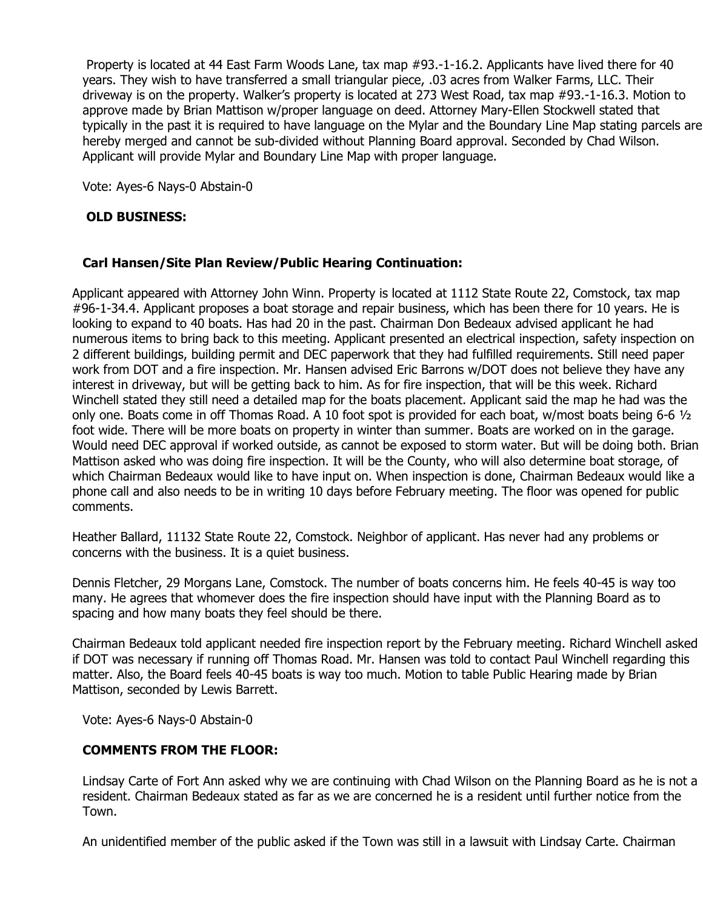Property is located at 44 East Farm Woods Lane, tax map #93.-1-16.2. Applicants have lived there for 40 years. They wish to have transferred a small triangular piece, .03 acres from Walker Farms, LLC. Their driveway is on the property. Walker's property is located at 273 West Road, tax map #93.-1-16.3. Motion to approve made by Brian Mattison w/proper language on deed. Attorney Mary-Ellen Stockwell stated that typically in the past it is required to have language on the Mylar and the Boundary Line Map stating parcels are hereby merged and cannot be sub-divided without Planning Board approval. Seconded by Chad Wilson. Applicant will provide Mylar and Boundary Line Map with proper language.

Vote: Ayes-6 Nays-0 Abstain-0

## **OLD BUSINESS:**

# **Carl Hansen/Site Plan Review/Public Hearing Continuation:**

Applicant appeared with Attorney John Winn. Property is located at 1112 State Route 22, Comstock, tax map #96-1-34.4. Applicant proposes a boat storage and repair business, which has been there for 10 years. He is looking to expand to 40 boats. Has had 20 in the past. Chairman Don Bedeaux advised applicant he had numerous items to bring back to this meeting. Applicant presented an electrical inspection, safety inspection on 2 different buildings, building permit and DEC paperwork that they had fulfilled requirements. Still need paper work from DOT and a fire inspection. Mr. Hansen advised Eric Barrons w/DOT does not believe they have any interest in driveway, but will be getting back to him. As for fire inspection, that will be this week. Richard Winchell stated they still need a detailed map for the boats placement. Applicant said the map he had was the only one. Boats come in off Thomas Road. A 10 foot spot is provided for each boat, w/most boats being 6-6  $1/2$ foot wide. There will be more boats on property in winter than summer. Boats are worked on in the garage. Would need DEC approval if worked outside, as cannot be exposed to storm water. But will be doing both. Brian Mattison asked who was doing fire inspection. It will be the County, who will also determine boat storage, of which Chairman Bedeaux would like to have input on. When inspection is done, Chairman Bedeaux would like a phone call and also needs to be in writing 10 days before February meeting. The floor was opened for public comments.

Heather Ballard, 11132 State Route 22, Comstock. Neighbor of applicant. Has never had any problems or concerns with the business. It is a quiet business.

Dennis Fletcher, 29 Morgans Lane, Comstock. The number of boats concerns him. He feels 40-45 is way too many. He agrees that whomever does the fire inspection should have input with the Planning Board as to spacing and how many boats they feel should be there.

Chairman Bedeaux told applicant needed fire inspection report by the February meeting. Richard Winchell asked if DOT was necessary if running off Thomas Road. Mr. Hansen was told to contact Paul Winchell regarding this matter. Also, the Board feels 40-45 boats is way too much. Motion to table Public Hearing made by Brian Mattison, seconded by Lewis Barrett.

Vote: Ayes-6 Nays-0 Abstain-0

## **COMMENTS FROM THE FLOOR:**

Lindsay Carte of Fort Ann asked why we are continuing with Chad Wilson on the Planning Board as he is not a resident. Chairman Bedeaux stated as far as we are concerned he is a resident until further notice from the Town.

An unidentified member of the public asked if the Town was still in a lawsuit with Lindsay Carte. Chairman